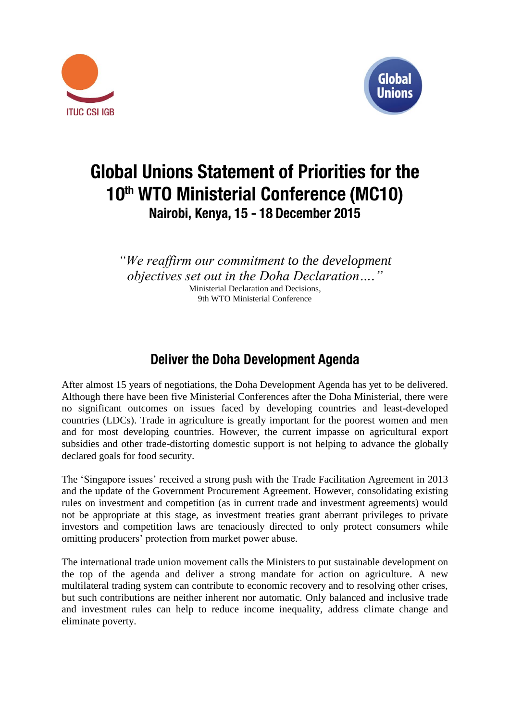



# **Global Unions Statement of Priorities for the** 10th WTO Ministerial Conference (MC10) Nairobi, Kenya, 15 - 18 December 2015

*"We reaffirm our commitment to the development objectives set out in the Doha Declaration…."* Ministerial Declaration and Decisions, 9th WTO Ministerial Conference

**Deliver the Doha Development Agenda** 

After almost 15 years of negotiations, the Doha Development Agenda has yet to be delivered. Although there have been five Ministerial Conferences after the Doha Ministerial, there were no significant outcomes on issues faced by developing countries and least-developed countries (LDCs). Trade in agriculture is greatly important for the poorest women and men and for most developing countries. However, the current impasse on agricultural export subsidies and other trade-distorting domestic support is not helping to advance the globally declared goals for food security.

The 'Singapore issues' received a strong push with the Trade Facilitation Agreement in 2013 and the update of the Government Procurement Agreement. However, consolidating existing rules on investment and competition (as in current trade and investment agreements) would not be appropriate at this stage, as investment treaties grant aberrant privileges to private investors and competition laws are tenaciously directed to only protect consumers while omitting producers' protection from market power abuse.

The international trade union movement calls the Ministers to put sustainable development on the top of the agenda and deliver a strong mandate for action on agriculture. A new multilateral trading system can contribute to economic recovery and to resolving other crises, but such contributions are neither inherent nor automatic. Only balanced and inclusive trade and investment rules can help to reduce income inequality, address climate change and eliminate poverty.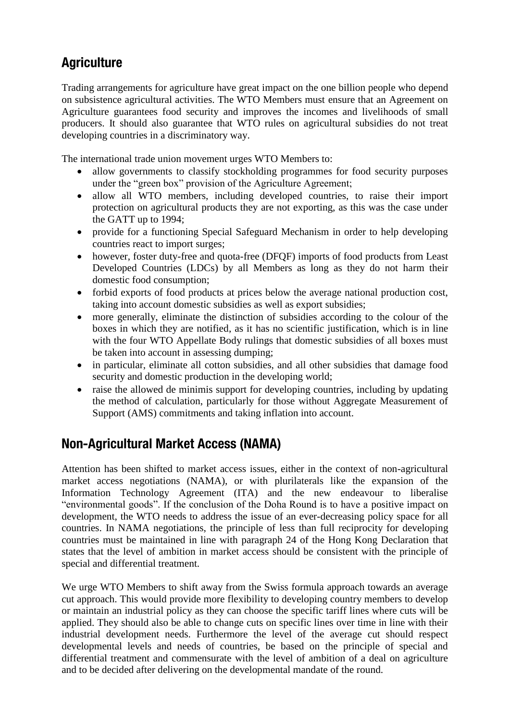## **Agriculture**

Trading arrangements for agriculture have great impact on the one billion people who depend on subsistence agricultural activities. The WTO Members must ensure that an Agreement on Agriculture guarantees food security and improves the incomes and livelihoods of small producers. It should also guarantee that WTO rules on agricultural subsidies do not treat developing countries in a discriminatory way.

The international trade union movement urges WTO Members to:

- allow governments to classify stockholding programmes for food security purposes under the "green box" provision of the Agriculture Agreement;
- allow all WTO members, including developed countries, to raise their import protection on agricultural products they are not exporting, as this was the case under the GATT up to 1994;
- provide for a functioning Special Safeguard Mechanism in order to help developing countries react to import surges;
- however, foster duty-free and quota-free (DFQF) imports of food products from Least Developed Countries (LDCs) by all Members as long as they do not harm their domestic food consumption;
- forbid exports of food products at prices below the average national production cost, taking into account domestic subsidies as well as export subsidies;
- more generally, eliminate the distinction of subsidies according to the colour of the boxes in which they are notified, as it has no scientific justification, which is in line with the four WTO Appellate Body rulings that domestic subsidies of all boxes must be taken into account in assessing dumping;
- in particular, eliminate all cotton subsidies, and all other subsidies that damage food security and domestic production in the developing world;
- raise the allowed de minimis support for developing countries, including by updating the method of calculation, particularly for those without Aggregate Measurement of Support (AMS) commitments and taking inflation into account.

## **Non-Agricultural Market Access (NAMA)**

Attention has been shifted to market access issues, either in the context of non-agricultural market access negotiations (NAMA), or with plurilaterals like the expansion of the Information Technology Agreement (ITA) and the new endeavour to liberalise "environmental goods". If the conclusion of the Doha Round is to have a positive impact on development, the WTO needs to address the issue of an ever-decreasing policy space for all countries. In NAMA negotiations, the principle of less than full reciprocity for developing countries must be maintained in line with paragraph 24 of the Hong Kong Declaration that states that the level of ambition in market access should be consistent with the principle of special and differential treatment.

We urge WTO Members to shift away from the Swiss formula approach towards an average cut approach. This would provide more flexibility to developing country members to develop or maintain an industrial policy as they can choose the specific tariff lines where cuts will be applied. They should also be able to change cuts on specific lines over time in line with their industrial development needs. Furthermore the level of the average cut should respect developmental levels and needs of countries, be based on the principle of special and differential treatment and commensurate with the level of ambition of a deal on agriculture and to be decided after delivering on the developmental mandate of the round.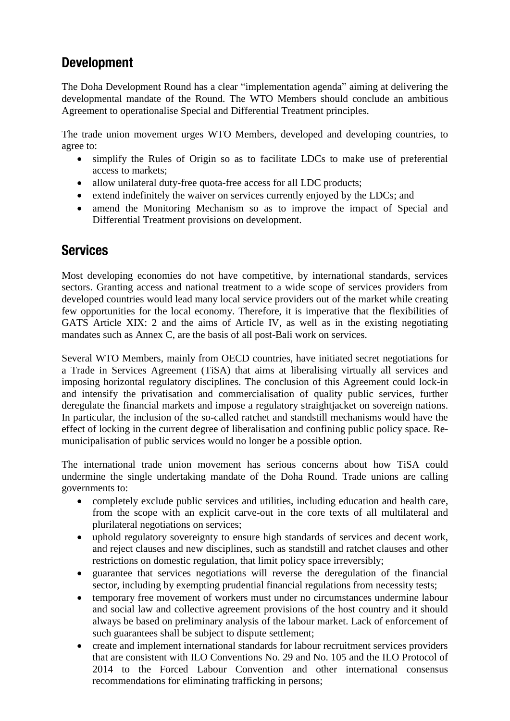## **Development**

The Doha Development Round has a clear "implementation agenda" aiming at delivering the developmental mandate of the Round. The WTO Members should conclude an ambitious Agreement to operationalise Special and Differential Treatment principles.

The trade union movement urges WTO Members, developed and developing countries, to agree to:

- simplify the Rules of Origin so as to facilitate LDCs to make use of preferential access to markets;
- allow unilateral duty-free quota-free access for all LDC products;
- extend indefinitely the waiver on services currently enjoyed by the LDCs; and
- amend the Monitoring Mechanism so as to improve the impact of Special and Differential Treatment provisions on development.

### **Services**

Most developing economies do not have competitive, by international standards, services sectors. Granting access and national treatment to a wide scope of services providers from developed countries would lead many local service providers out of the market while creating few opportunities for the local economy. Therefore, it is imperative that the flexibilities of GATS Article XIX: 2 and the aims of Article IV, as well as in the existing negotiating mandates such as Annex C, are the basis of all post-Bali work on services.

Several WTO Members, mainly from OECD countries, have initiated secret negotiations for a Trade in Services Agreement (TiSA) that aims at liberalising virtually all services and imposing horizontal regulatory disciplines. The conclusion of this Agreement could lock-in and intensify the privatisation and commercialisation of quality public services, further deregulate the financial markets and impose a regulatory straightjacket on sovereign nations. In particular, the inclusion of the so-called ratchet and standstill mechanisms would have the effect of locking in the current degree of liberalisation and confining public policy space. Remunicipalisation of public services would no longer be a possible option.

The international trade union movement has serious concerns about how TiSA could undermine the single undertaking mandate of the Doha Round. Trade unions are calling governments to:

- completely exclude public services and utilities, including education and health care, from the scope with an explicit carve-out in the core texts of all multilateral and plurilateral negotiations on services;
- uphold regulatory sovereignty to ensure high standards of services and decent work, and reject clauses and new disciplines, such as standstill and ratchet clauses and other restrictions on domestic regulation, that limit policy space irreversibly;
- guarantee that services negotiations will reverse the deregulation of the financial sector, including by exempting prudential financial regulations from necessity tests;
- temporary free movement of workers must under no circumstances undermine labour and social law and collective agreement provisions of the host country and it should always be based on preliminary analysis of the labour market. Lack of enforcement of such guarantees shall be subject to dispute settlement;
- create and implement international standards for labour recruitment services providers that are consistent with ILO Conventions No. 29 and No. 105 and the ILO Protocol of 2014 to the Forced Labour Convention and other international consensus recommendations for eliminating trafficking in persons;